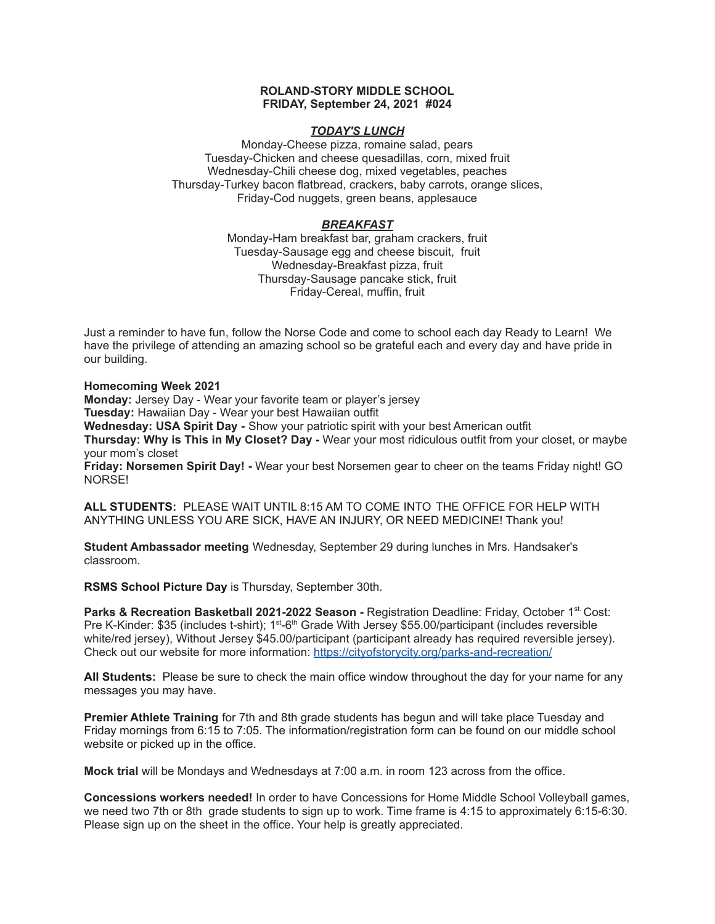## **ROLAND-STORY MIDDLE SCHOOL FRIDAY, September 24, 2021 #024**

## *TODAY'S LUNCH*

Monday-Cheese pizza, romaine salad, pears Tuesday-Chicken and cheese quesadillas, corn, mixed fruit Wednesday-Chili cheese dog, mixed vegetables, peaches Thursday-Turkey bacon flatbread, crackers, baby carrots, orange slices, Friday-Cod nuggets, green beans, applesauce

# *BREAKFAST*

Monday-Ham breakfast bar, graham crackers, fruit Tuesday-Sausage egg and cheese biscuit, fruit Wednesday-Breakfast pizza, fruit Thursday-Sausage pancake stick, fruit Friday-Cereal, muffin, fruit

Just a reminder to have fun, follow the Norse Code and come to school each day Ready to Learn! We have the privilege of attending an amazing school so be grateful each and every day and have pride in our building.

## **Homecoming Week 2021**

**Monday:** Jersey Day - Wear your favorite team or player's jersey **Tuesday:** Hawaiian Day - Wear your best Hawaiian outfit

**Wednesday: USA Spirit Day -** Show your patriotic spirit with your best American outfit **Thursday: Why is This in My Closet? Day -** Wear your most ridiculous outfit from your closet, or maybe your mom's closet

**Friday: Norsemen Spirit Day! -** Wear your best Norsemen gear to cheer on the teams Friday night! GO NORSE!

**ALL STUDENTS:** PLEASE WAIT UNTIL 8:15 AM TO COME INTO THE OFFICE FOR HELP WITH ANYTHING UNLESS YOU ARE SICK, HAVE AN INJURY, OR NEED MEDICINE! Thank you!

**Student Ambassador meeting** Wednesday, September 29 during lunches in Mrs. Handsaker's classroom.

**RSMS School Picture Day** is Thursday, September 30th.

**Parks & Recreation Basketball 2021-2022 Season -** Registration Deadline: Friday, October 1 st. Cost: Pre K-Kinder: \$35 (includes t-shirt); 1<sup>st</sup>-6<sup>th</sup> Grade With Jersey \$55.00/participant (includes reversible white/red jersey), Without Jersey \$45.00/participant (participant already has required reversible jersey). Check out our website for more information: <https://cityofstorycity.org/parks-and-recreation/>

**All Students:** Please be sure to check the main office window throughout the day for your name for any messages you may have.

**Premier Athlete Training** for 7th and 8th grade students has begun and will take place Tuesday and Friday mornings from 6:15 to 7:05. The information/registration form can be found on our middle school website or picked up in the office.

**Mock trial** will be Mondays and Wednesdays at 7:00 a.m. in room 123 across from the office.

**Concessions workers needed!** In order to have Concessions for Home Middle School Volleyball games, we need two 7th or 8th grade students to sign up to work. Time frame is 4:15 to approximately 6:15-6:30. Please sign up on the sheet in the office. Your help is greatly appreciated.